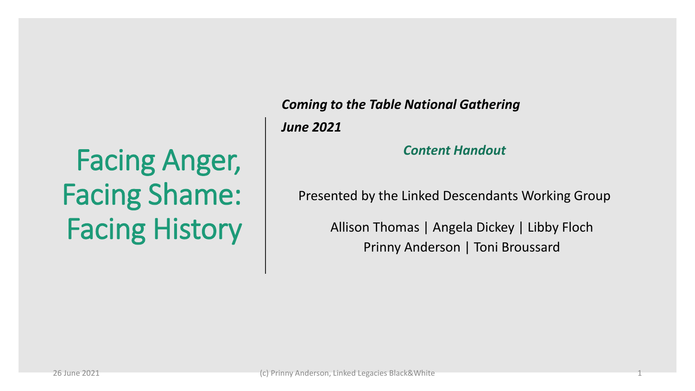## Facing Anger, Facing Shame: Facing History

#### *Coming to the Table National Gathering*

*June 2021*

#### *Content Handout*

Presented by the Linked Descendants Working Group

Allison Thomas | Angela Dickey | Libby Floch Prinny Anderson | Toni Broussard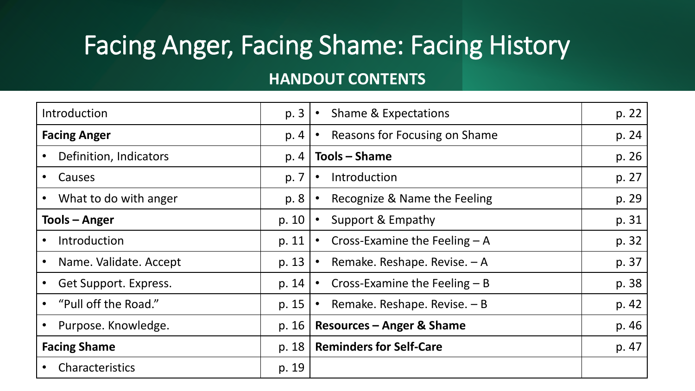### Facing Anger, Facing Shame: Facing History

#### **HANDOUT CONTENTS**

| Introduction           | p. 3  | <b>Shame &amp; Expectations</b>             | p. 22 |
|------------------------|-------|---------------------------------------------|-------|
| <b>Facing Anger</b>    | p. 4  | Reasons for Focusing on Shame<br>$\bullet$  | p. 24 |
| Definition, Indicators | p. 4  | Tools – Shame                               | p. 26 |
| Causes                 | p. 7  | Introduction<br>$\bullet$                   | p. 27 |
| What to do with anger  | p. 8  | Recognize & Name the Feeling<br>$\bullet$   | p. 29 |
| Tools - Anger          | p. 10 | Support & Empathy                           | p. 31 |
| Introduction           | p. 11 | Cross-Examine the Feeling $-A$              | p. 32 |
| Name. Validate. Accept | p. 13 | Remake. Reshape. Revise. - A<br>$\bullet$   | p. 37 |
| Get Support. Express.  | p. 14 | Cross-Examine the Feeling $- B$             | p. 38 |
| "Pull off the Road."   | p. 15 | Remake. Reshape. Revise. $- B$<br>$\bullet$ | p. 42 |
| Purpose. Knowledge.    | p. 16 | <b>Resources - Anger &amp; Shame</b>        | p. 46 |
| <b>Facing Shame</b>    | p. 18 | <b>Reminders for Self-Care</b>              | p. 47 |
| Characteristics        | p. 19 |                                             |       |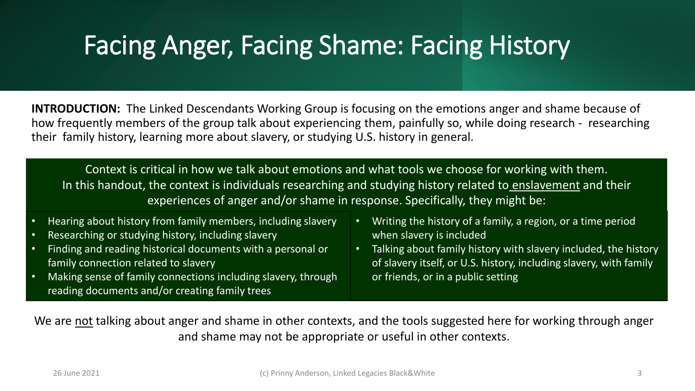#### Facing Anger, Facing Shame: Facing History

**INTRODUCTION:** The Linked Descendants Working Group is focusing on the emotions anger and shame because of how frequently members of the group talk about experiencing them, painfully so, while doing research - researching their family history, learning more about slavery, or studying U.S. history in general.

Context is critical in how we talk about emotions and what tools we choose for working with them. In this handout, the context is individuals researching and studying history related to enslavement and their experiences of anger and/or shame in response. Specifically, they might be:

- Hearing about history from family members, including slavery
- Researching or studying history, including slavery
- Finding and reading historical documents with a personal or family connection related to slavery
- Making sense of family connections including slavery, through reading documents and/or creating family trees
- Writing the history of a family, a region, or a time period when slavery is included
- Talking about family history with slavery included, the history of slavery itself, or U.S. history, including slavery, with family or friends, or in a public setting

We are not talking about anger and shame in other contexts, and the tools suggested here for working through anger and shame may not be appropriate or useful in other contexts.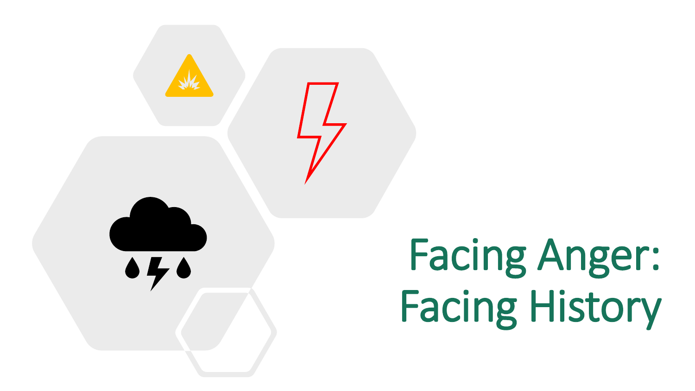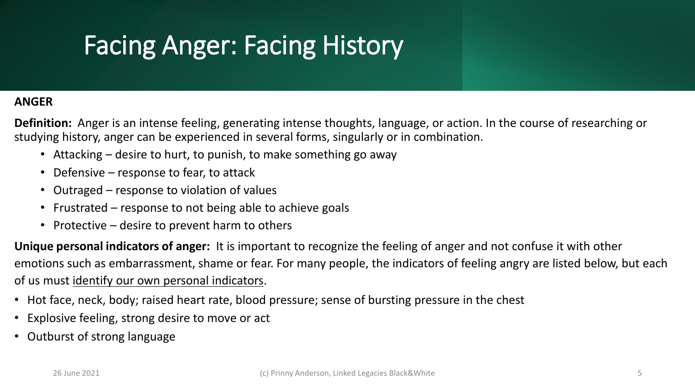#### **ANGER**

**Definition:** Anger is an intense feeling, generating intense thoughts, language, or action. In the course of researching or studying history, anger can be experienced in several forms, singularly or in combination.

- Attacking desire to hurt, to punish, to make something go away
- Defensive response to fear, to attack
- Outraged response to violation of values
- Frustrated response to not being able to achieve goals
- Protective desire to prevent harm to others

**Unique personal indicators of anger:** It is important to recognize the feeling of anger and not confuse it with other emotions such as embarrassment, shame or fear. For many people, the indicators of feeling angry are listed below, but each of us must identify our own personal indicators.

- Hot face, neck, body; raised heart rate, blood pressure; sense of bursting pressure in the chest
- Explosive feeling, strong desire to move or act
- Outburst of strong language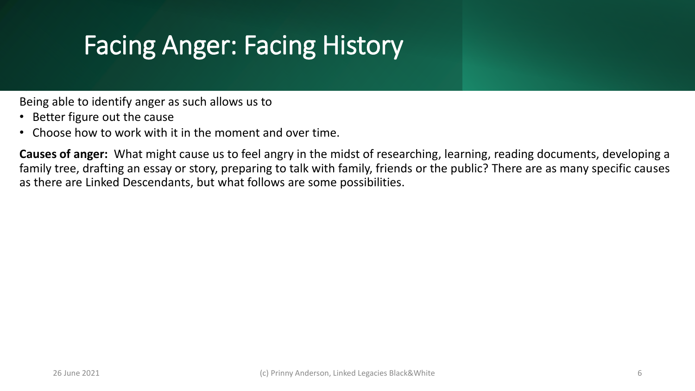Being able to identify anger as such allows us to

- Better figure out the cause
- Choose how to work with it in the moment and over time.

**Causes of anger:** What might cause us to feel angry in the midst of researching, learning, reading documents, developing a family tree, drafting an essay or story, preparing to talk with family, friends or the public? There are as many specific causes as there are Linked Descendants, but what follows are some possibilities.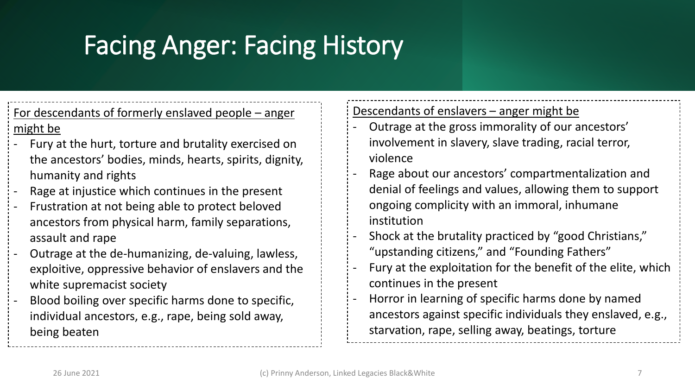#### For descendants of formerly enslaved people – anger might be

- Fury at the hurt, torture and brutality exercised on the ancestors' bodies, minds, hearts, spirits, dignity, humanity and rights
- Rage at injustice which continues in the present
- Frustration at not being able to protect beloved ancestors from physical harm, family separations, assault and rape
- Outrage at the de-humanizing, de-valuing, lawless, exploitive, oppressive behavior of enslavers and the white supremacist society
- Blood boiling over specific harms done to specific, individual ancestors, e.g., rape, being sold away, being beaten

#### Descendants of enslavers - anger might be

- Outrage at the gross immorality of our ancestors' involvement in slavery, slave trading, racial terror, violence
- Rage about our ancestors' compartmentalization and denial of feelings and values, allowing them to support ongoing complicity with an immoral, inhumane institution
- Shock at the brutality practiced by "good Christians," "upstanding citizens," and "Founding Fathers"
- Fury at the exploitation for the benefit of the elite, which continues in the present
- Horror in learning of specific harms done by named ancestors against specific individuals they enslaved, e.g., starvation, rape, selling away, beatings, torture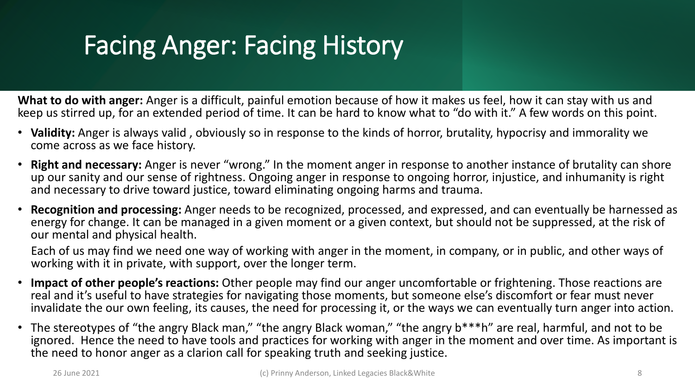**What to do with anger:** Anger is a difficult, painful emotion because of how it makes us feel, how it can stay with us and keep us stirred up, for an extended period of time. It can be hard to know what to "do with it." A few words on this point.

- **Validity:** Anger is always valid , obviously so in response to the kinds of horror, brutality, hypocrisy and immorality we come across as we face history.
- **Right and necessary:** Anger is never "wrong." In the moment anger in response to another instance of brutality can shore up our sanity and our sense of rightness. Ongoing anger in response to ongoing horror, injustice, and inhumanity is right and necessary to drive toward justice, toward eliminating ongoing harms and trauma.
- **Recognition and processing:** Anger needs to be recognized, processed, and expressed, and can eventually be harnessed as energy for change. It can be managed in a given moment or a given context, but should not be suppressed, at the risk of our mental and physical health.

Each of us may find we need one way of working with anger in the moment, in company, or in public, and other ways of working with it in private, with support, over the longer term.

- **Impact of other people's reactions:** Other people may find our anger uncomfortable or frightening. Those reactions are real and it's useful to have strategies for navigating those moments, but someone else's discomfort or fear must never invalidate the our own feeling, its causes, the need for processing it, or the ways we can eventually turn anger into action.
- The stereotypes of "the angry Black man," "the angry Black woman," "the angry b\*\*\*h" are real, harmful, and not to be ignored. Hence the need to have tools and practices for working with anger in the moment and over time. As important is the need to honor anger as a clarion call for speaking truth and seeking justice.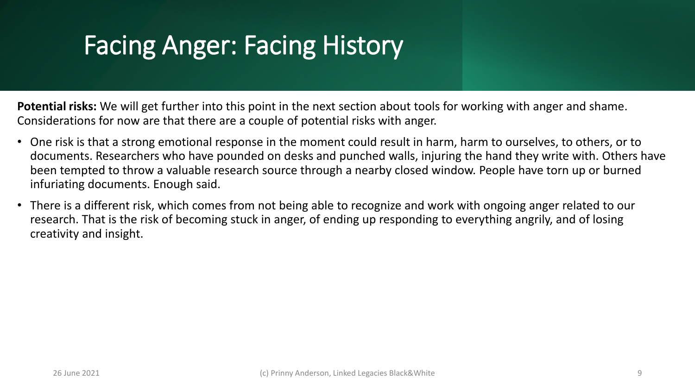**Potential risks:** We will get further into this point in the next section about tools for working with anger and shame. Considerations for now are that there are a couple of potential risks with anger.

- One risk is that a strong emotional response in the moment could result in harm, harm to ourselves, to others, or to documents. Researchers who have pounded on desks and punched walls, injuring the hand they write with. Others have been tempted to throw a valuable research source through a nearby closed window. People have torn up or burned infuriating documents. Enough said.
- There is a different risk, which comes from not being able to recognize and work with ongoing anger related to our research. That is the risk of becoming stuck in anger, of ending up responding to everything angrily, and of losing creativity and insight.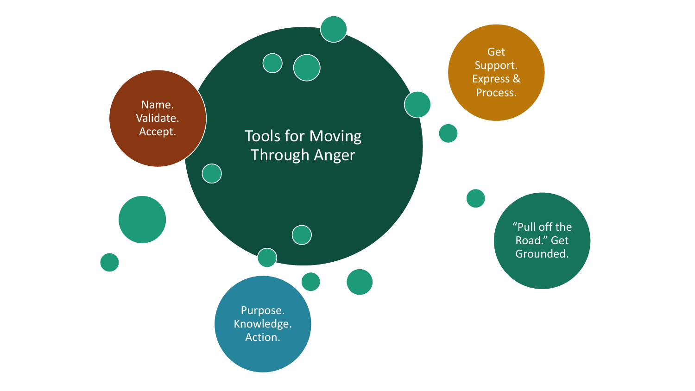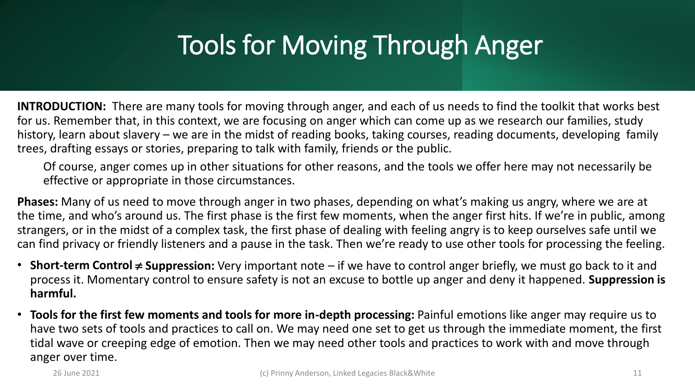**INTRODUCTION:** There are many tools for moving through anger, and each of us needs to find the toolkit that works best for us. Remember that, in this context, we are focusing on anger which can come up as we research our families, study history, learn about slavery – we are in the midst of reading books, taking courses, reading documents, developing family trees, drafting essays or stories, preparing to talk with family, friends or the public.

Of course, anger comes up in other situations for other reasons, and the tools we offer here may not necessarily be effective or appropriate in those circumstances.

**Phases:** Many of us need to move through anger in two phases, depending on what's making us angry, where we are at the time, and who's around us. The first phase is the first few moments, when the anger first hits. If we're in public, among strangers, or in the midst of a complex task, the first phase of dealing with feeling angry is to keep ourselves safe until we can find privacy or friendly listeners and a pause in the task. Then we're ready to use other tools for processing the feeling.

- **Short-term Control**  $\neq$  **Suppression:** Very important note  $-$  if we have to control anger briefly, we must go back to it and process it. Momentary control to ensure safety is not an excuse to bottle up anger and deny it happened. **Suppression is harmful.**
- **Tools for the first few moments and tools for more in-depth processing:** Painful emotions like anger may require us to have two sets of tools and practices to call on. We may need one set to get us through the immediate moment, the first tidal wave or creeping edge of emotion. Then we may need other tools and practices to work with and move through anger over time.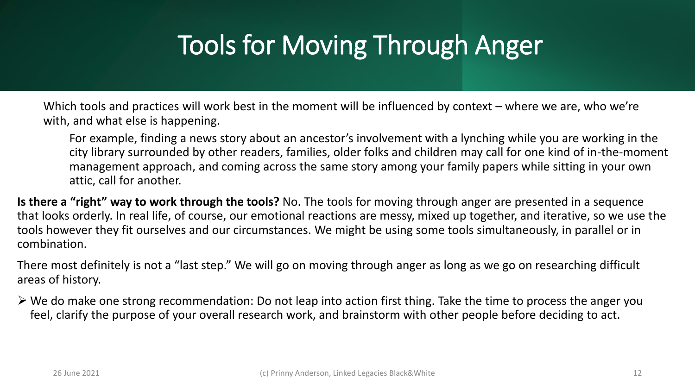Which tools and practices will work best in the moment will be influenced by context – where we are, who we're with, and what else is happening.

For example, finding a news story about an ancestor's involvement with a lynching while you are working in the city library surrounded by other readers, families, older folks and children may call for one kind of in-the-moment management approach, and coming across the same story among your family papers while sitting in your own attic, call for another.

**Is there a "right" way to work through the tools?** No. The tools for moving through anger are presented in a sequence that looks orderly. In real life, of course, our emotional reactions are messy, mixed up together, and iterative, so we use the tools however they fit ourselves and our circumstances. We might be using some tools simultaneously, in parallel or in combination.

There most definitely is not a "last step." We will go on moving through anger as long as we go on researching difficult areas of history.

 $\triangleright$  We do make one strong recommendation: Do not leap into action first thing. Take the time to process the anger you feel, clarify the purpose of your overall research work, and brainstorm with other people before deciding to act.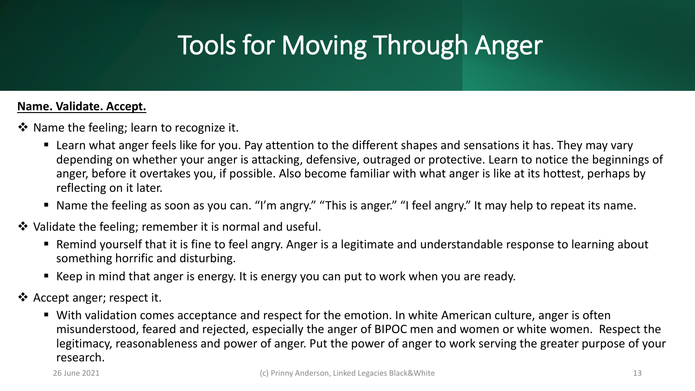#### **Name. Validate. Accept.**

- ❖ Name the feeling; learn to recognize it.
	- Learn what anger feels like for you. Pay attention to the different shapes and sensations it has. They may vary depending on whether your anger is attacking, defensive, outraged or protective. Learn to notice the beginnings of anger, before it overtakes you, if possible. Also become familiar with what anger is like at its hottest, perhaps by reflecting on it later.
	- Name the feeling as soon as you can. "I'm angry." "This is anger." "I feel angry." It may help to repeat its name.
- ❖ Validate the feeling; remember it is normal and useful.
	- Remind yourself that it is fine to feel angry. Anger is a legitimate and understandable response to learning about something horrific and disturbing.
	- Keep in mind that anger is energy. It is energy you can put to work when you are ready.
- ❖ Accept anger; respect it.
	- With validation comes acceptance and respect for the emotion. In white American culture, anger is often misunderstood, feared and rejected, especially the anger of BIPOC men and women or white women. Respect the legitimacy, reasonableness and power of anger. Put the power of anger to work serving the greater purpose of your research.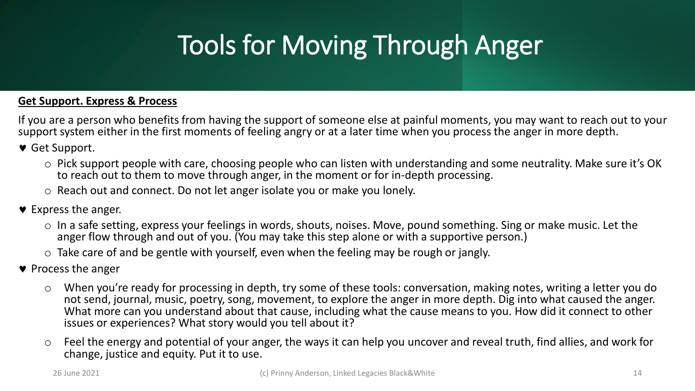#### **Get Support. Express & Process**

If you are a person who benefits from having the support of someone else at painful moments, you may want to reach out to your support system either in the first moments of feeling angry or at a later time when you process the anger in more depth.

Get Support.

- o Pick support people with care, choosing people who can listen with understanding and some neutrality. Make sure it's OK to reach out to them to move through anger, in the moment or for in-depth processing.
- o Reach out and connect. Do not let anger isolate you or make you lonely.
- $\bullet$  Express the anger.
	- $\circ$  In a safe setting, express your feelings in words, shouts, noises. Move, pound something. Sing or make music. Let the anger flow through and out of you. (You may take this step alone or with a supportive person.)
	- $\circ$  Take care of and be gentle with yourself, even when the feeling may be rough or jangly.
- $\bullet$  Process the anger
	- o When you're ready for processing in depth, try some of these tools: conversation, making notes, writing a letter you do not send, journal, music, poetry, song, movement, to explore the anger in more depth. Dig into what caused the anger. What more can you understand about that cause, including what the cause means to you. How did it connect to other issues or experiences? What story would you tell about it?
	- o Feel the energy and potential of your anger, the ways it can help you uncover and reveal truth, find allies, and work for change, justice and equity. Put it to use.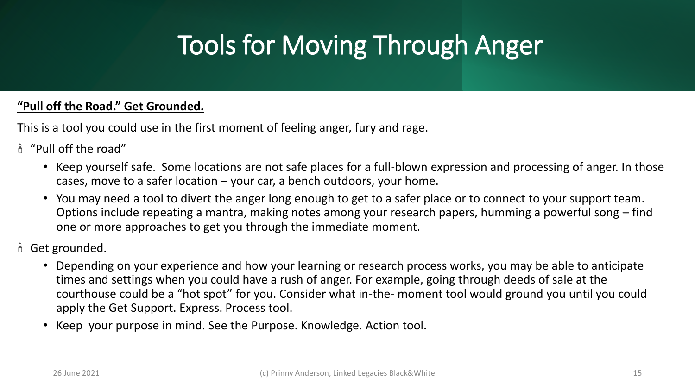#### **"Pull off the Road." Get Grounded.**

This is a tool you could use in the first moment of feeling anger, fury and rage.

- $A^{\mu}$  "Pull off the road"
	- Keep yourself safe. Some locations are not safe places for a full-blown expression and processing of anger. In those cases, move to a safer location – your car, a bench outdoors, your home.
	- You may need a tool to divert the anger long enough to get to a safer place or to connect to your support team. Options include repeating a mantra, making notes among your research papers, humming a powerful song – find one or more approaches to get you through the immediate moment.
- **8** Get grounded.
	- Depending on your experience and how your learning or research process works, you may be able to anticipate times and settings when you could have a rush of anger. For example, going through deeds of sale at the courthouse could be a "hot spot" for you. Consider what in-the- moment tool would ground you until you could apply the Get Support. Express. Process tool.
	- Keep your purpose in mind. See the Purpose. Knowledge. Action tool.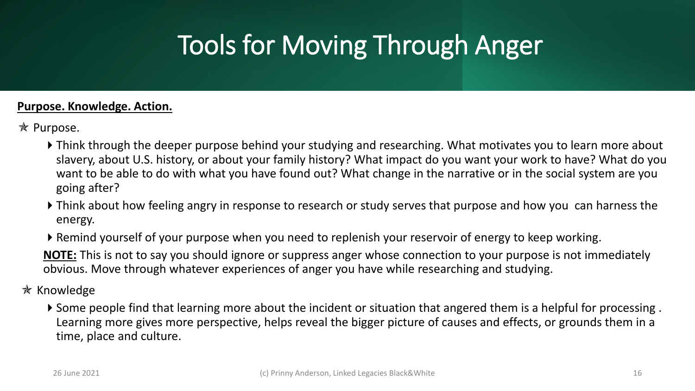#### **Purpose. Knowledge. Action.**

- **★ Purpose.** 
	- Think through the deeper purpose behind your studying and researching. What motivates you to learn more about slavery, about U.S. history, or about your family history? What impact do you want your work to have? What do you want to be able to do with what you have found out? What change in the narrative or in the social system are you going after?
	- Think about how feeling angry in response to research or study serves that purpose and how you can harness the energy.
	- Remind yourself of your purpose when you need to replenish your reservoir of energy to keep working.

**NOTE:** This is not to say you should ignore or suppress anger whose connection to your purpose is not immediately obvious. Move through whatever experiences of anger you have while researching and studying.

#### $\ast$  Knowledge

Some people find that learning more about the incident or situation that angered them is a helpful for processing . Learning more gives more perspective, helps reveal the bigger picture of causes and effects, or grounds them in a time, place and culture.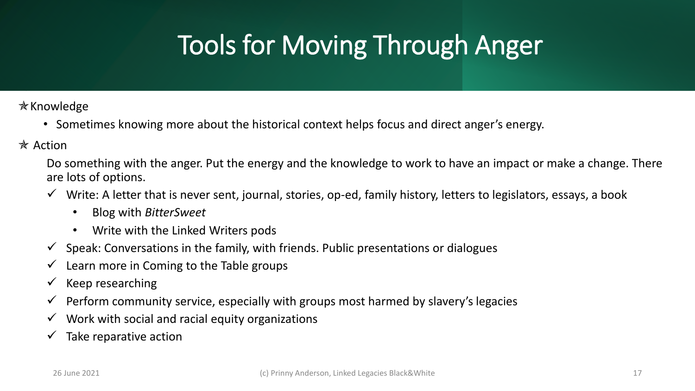$*$ Knowledge

- Sometimes knowing more about the historical context helps focus and direct anger's energy.
- $*$  Action

Do something with the anger. Put the energy and the knowledge to work to have an impact or make a change. There are lots of options.

- $\checkmark$  Write: A letter that is never sent, journal, stories, op-ed, family history, letters to legislators, essays, a book
	- Blog with *BitterSweet*
	- Write with the Linked Writers pods
- $\checkmark$  Speak: Conversations in the family, with friends. Public presentations or dialogues
- $\checkmark$  Learn more in Coming to the Table groups
- $\checkmark$  Keep researching
- $\checkmark$  Perform community service, especially with groups most harmed by slavery's legacies
- $\checkmark$  Work with social and racial equity organizations
- $\checkmark$  Take reparative action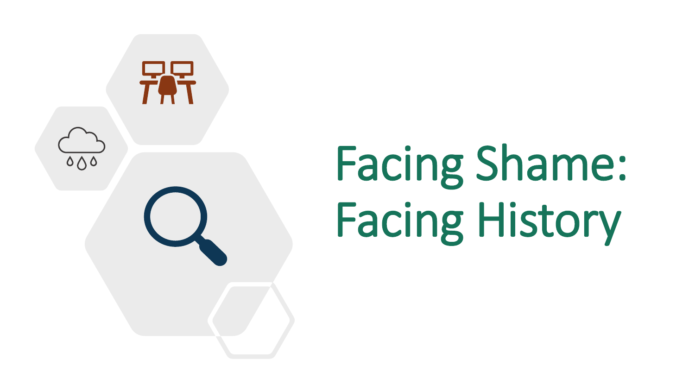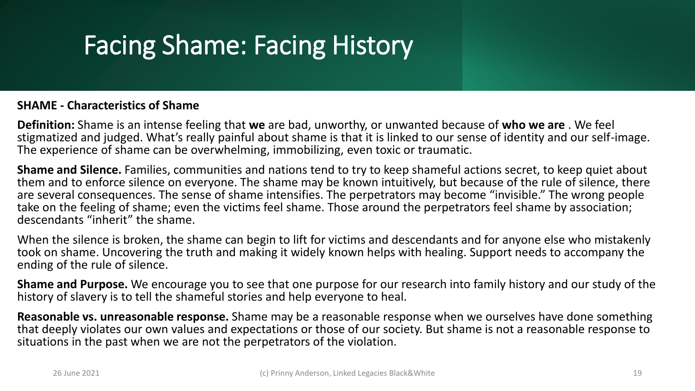#### **SHAME - Characteristics of Shame**

**Definition:** Shame is an intense feeling that **we** are bad, unworthy, or unwanted because of **who we are** . We feel stigmatized and judged. What's really painful about shame is that it is linked to our sense of identity and our self-image. The experience of shame can be overwhelming, immobilizing, even toxic or traumatic.

**Shame and Silence.** Families, communities and nations tend to try to keep shameful actions secret, to keep quiet about them and to enforce silence on everyone. The shame may be known intuitively, but because of the rule of silence, there are several consequences. The sense of shame intensifies. The perpetrators may become "invisible." The wrong people take on the feeling of shame; even the victims feel shame. Those around the perpetrators feel shame by association; descendants "inherit" the shame.

When the silence is broken, the shame can begin to lift for victims and descendants and for anyone else who mistakenly took on shame. Uncovering the truth and making it widely known helps with healing. Support needs to accompany the ending of the rule of silence.

**Shame and Purpose.** We encourage you to see that one purpose for our research into family history and our study of the history of slavery is to tell the shameful stories and help everyone to heal.

**Reasonable vs. unreasonable response.** Shame may be a reasonable response when we ourselves have done something that deeply violates our own values and expectations or those of our society. But shame is not a reasonable response to situations in the past when we are not the perpetrators of the violation.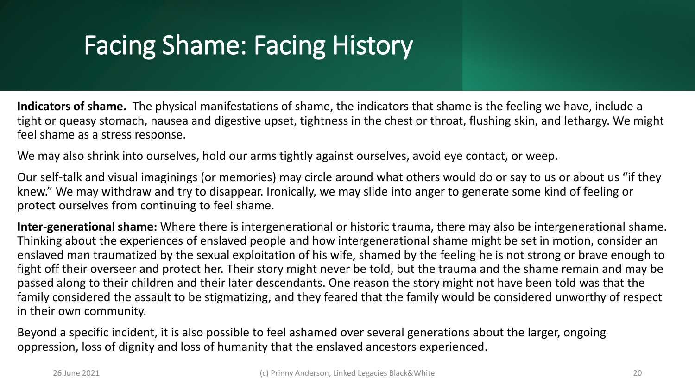**Indicators of shame.** The physical manifestations of shame, the indicators that shame is the feeling we have, include a tight or queasy stomach, nausea and digestive upset, tightness in the chest or throat, flushing skin, and lethargy. We might feel shame as a stress response.

We may also shrink into ourselves, hold our arms tightly against ourselves, avoid eye contact, or weep.

Our self-talk and visual imaginings (or memories) may circle around what others would do or say to us or about us "if they knew." We may withdraw and try to disappear. Ironically, we may slide into anger to generate some kind of feeling or protect ourselves from continuing to feel shame.

**Inter-generational shame:** Where there is intergenerational or historic trauma, there may also be intergenerational shame. Thinking about the experiences of enslaved people and how intergenerational shame might be set in motion, consider an enslaved man traumatized by the sexual exploitation of his wife, shamed by the feeling he is not strong or brave enough to fight off their overseer and protect her. Their story might never be told, but the trauma and the shame remain and may be passed along to their children and their later descendants. One reason the story might not have been told was that the family considered the assault to be stigmatizing, and they feared that the family would be considered unworthy of respect in their own community.

Beyond a specific incident, it is also possible to feel ashamed over several generations about the larger, ongoing oppression, loss of dignity and loss of humanity that the enslaved ancestors experienced.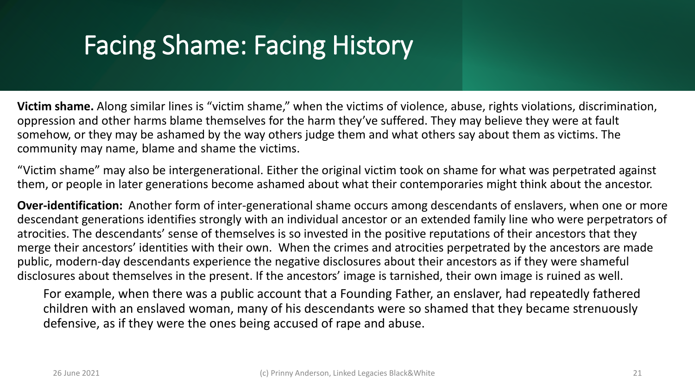**Victim shame.** Along similar lines is "victim shame," when the victims of violence, abuse, rights violations, discrimination, oppression and other harms blame themselves for the harm they've suffered. They may believe they were at fault somehow, or they may be ashamed by the way others judge them and what others say about them as victims. The community may name, blame and shame the victims.

"Victim shame" may also be intergenerational. Either the original victim took on shame for what was perpetrated against them, or people in later generations become ashamed about what their contemporaries might think about the ancestor.

**Over-identification:** Another form of inter-generational shame occurs among descendants of enslavers, when one or more descendant generations identifies strongly with an individual ancestor or an extended family line who were perpetrators of atrocities. The descendants' sense of themselves is so invested in the positive reputations of their ancestors that they merge their ancestors' identities with their own. When the crimes and atrocities perpetrated by the ancestors are made public, modern-day descendants experience the negative disclosures about their ancestors as if they were shameful disclosures about themselves in the present. If the ancestors' image is tarnished, their own image is ruined as well.

For example, when there was a public account that a Founding Father, an enslaver, had repeatedly fathered children with an enslaved woman, many of his descendants were so shamed that they became strenuously defensive, as if they were the ones being accused of rape and abuse.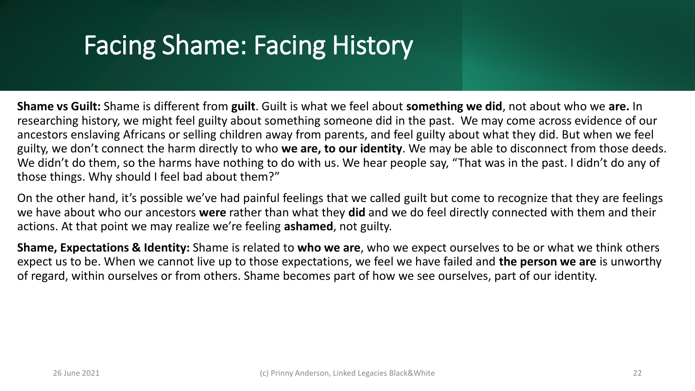**Shame vs Guilt:** Shame is different from **guilt**. Guilt is what we feel about **something we did**, not about who we **are.** In researching history, we might feel guilty about something someone did in the past. We may come across evidence of our ancestors enslaving Africans or selling children away from parents, and feel guilty about what they did. But when we feel guilty, we don't connect the harm directly to who **we are, to our identity**. We may be able to disconnect from those deeds. We didn't do them, so the harms have nothing to do with us. We hear people say, "That was in the past. I didn't do any of those things. Why should I feel bad about them?"

On the other hand, it's possible we've had painful feelings that we called guilt but come to recognize that they are feelings we have about who our ancestors **were** rather than what they **did** and we do feel directly connected with them and their actions. At that point we may realize we're feeling **ashamed**, not guilty.

**Shame, Expectations & Identity:** Shame is related to **who we are**, who we expect ourselves to be or what we think others expect us to be. When we cannot live up to those expectations, we feel we have failed and **the person we are** is unworthy of regard, within ourselves or from others. Shame becomes part of how we see ourselves, part of our identity.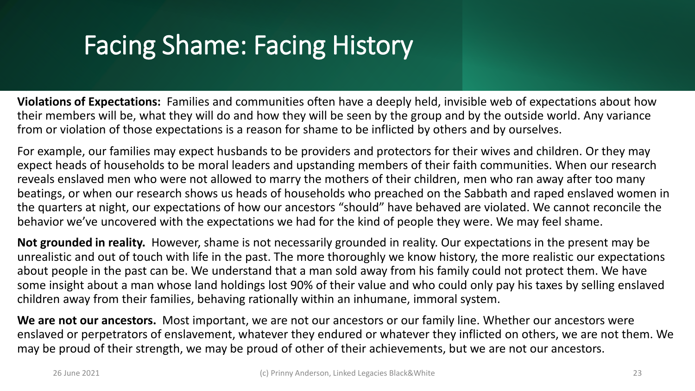**Violations of Expectations:** Families and communities often have a deeply held, invisible web of expectations about how their members will be, what they will do and how they will be seen by the group and by the outside world. Any variance from or violation of those expectations is a reason for shame to be inflicted by others and by ourselves.

For example, our families may expect husbands to be providers and protectors for their wives and children. Or they may expect heads of households to be moral leaders and upstanding members of their faith communities. When our research reveals enslaved men who were not allowed to marry the mothers of their children, men who ran away after too many beatings, or when our research shows us heads of households who preached on the Sabbath and raped enslaved women in the quarters at night, our expectations of how our ancestors "should" have behaved are violated. We cannot reconcile the behavior we've uncovered with the expectations we had for the kind of people they were. We may feel shame.

**Not grounded in reality.** However, shame is not necessarily grounded in reality. Our expectations in the present may be unrealistic and out of touch with life in the past. The more thoroughly we know history, the more realistic our expectations about people in the past can be. We understand that a man sold away from his family could not protect them. We have some insight about a man whose land holdings lost 90% of their value and who could only pay his taxes by selling enslaved children away from their families, behaving rationally within an inhumane, immoral system.

**We are not our ancestors.** Most important, we are not our ancestors or our family line. Whether our ancestors were enslaved or perpetrators of enslavement, whatever they endured or whatever they inflicted on others, we are not them. We may be proud of their strength, we may be proud of other of their achievements, but we are not our ancestors.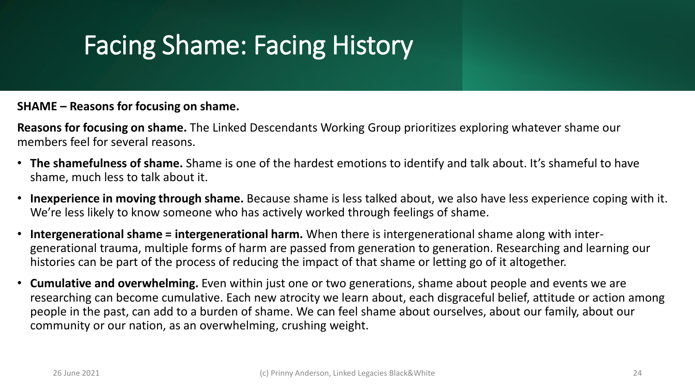#### **SHAME – Reasons for focusing on shame.**

**Reasons for focusing on shame.** The Linked Descendants Working Group prioritizes exploring whatever shame our members feel for several reasons.

- **The shamefulness of shame.** Shame is one of the hardest emotions to identify and talk about. It's shameful to have shame, much less to talk about it.
- **Inexperience in moving through shame.** Because shame is less talked about, we also have less experience coping with it. We're less likely to know someone who has actively worked through feelings of shame.
- **Intergenerational shame = intergenerational harm.** When there is intergenerational shame along with intergenerational trauma, multiple forms of harm are passed from generation to generation. Researching and learning our histories can be part of the process of reducing the impact of that shame or letting go of it altogether.
- **Cumulative and overwhelming.** Even within just one or two generations, shame about people and events we are researching can become cumulative. Each new atrocity we learn about, each disgraceful belief, attitude or action among people in the past, can add to a burden of shame. We can feel shame about ourselves, about our family, about our community or our nation, as an overwhelming, crushing weight.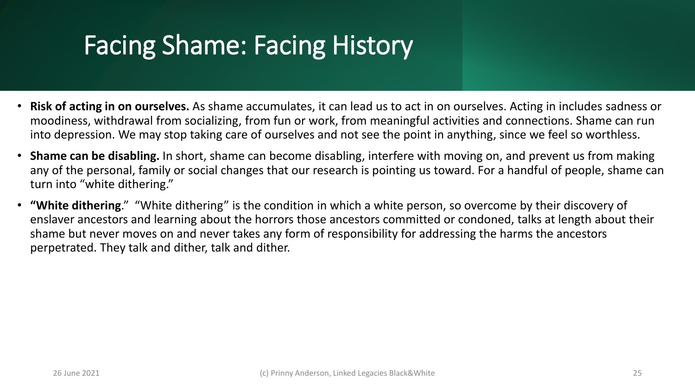- **Risk of acting in on ourselves.** As shame accumulates, it can lead us to act in on ourselves. Acting in includes sadness or moodiness, withdrawal from socializing, from fun or work, from meaningful activities and connections. Shame can run into depression. We may stop taking care of ourselves and not see the point in anything, since we feel so worthless.
- **Shame can be disabling.** In short, shame can become disabling, interfere with moving on, and prevent us from making any of the personal, family or social changes that our research is pointing us toward. For a handful of people, shame can turn into "white dithering."
- **"White dithering**." "White dithering" is the condition in which a white person, so overcome by their discovery of enslaver ancestors and learning about the horrors those ancestors committed or condoned, talks at length about their shame but never moves on and never takes any form of responsibility for addressing the harms the ancestors perpetrated. They talk and dither, talk and dither.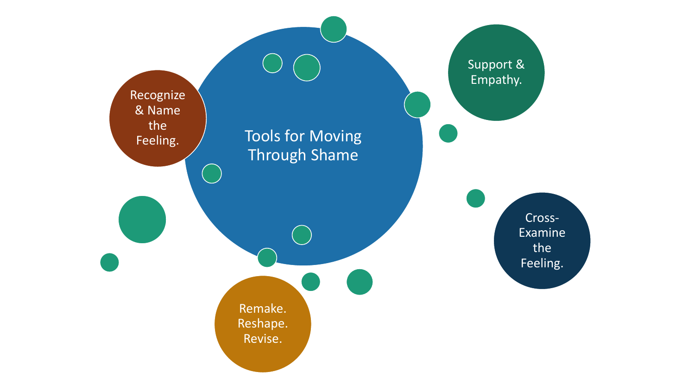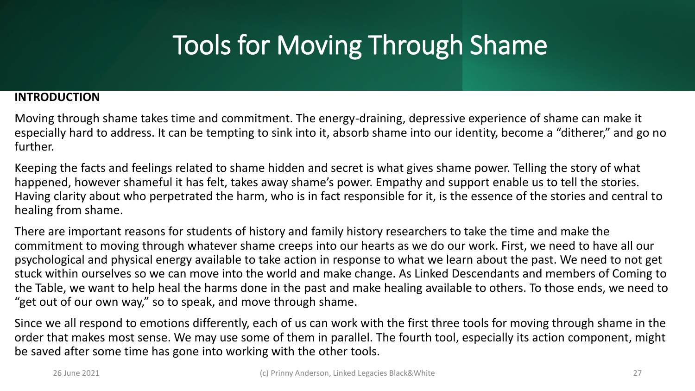#### **INTRODUCTION**

Moving through shame takes time and commitment. The energy-draining, depressive experience of shame can make it especially hard to address. It can be tempting to sink into it, absorb shame into our identity, become a "ditherer," and go no further.

Keeping the facts and feelings related to shame hidden and secret is what gives shame power. Telling the story of what happened, however shameful it has felt, takes away shame's power. Empathy and support enable us to tell the stories. Having clarity about who perpetrated the harm, who is in fact responsible for it, is the essence of the stories and central to healing from shame.

There are important reasons for students of history and family history researchers to take the time and make the commitment to moving through whatever shame creeps into our hearts as we do our work. First, we need to have all our psychological and physical energy available to take action in response to what we learn about the past. We need to not get stuck within ourselves so we can move into the world and make change. As Linked Descendants and members of Coming to the Table, we want to help heal the harms done in the past and make healing available to others. To those ends, we need to "get out of our own way," so to speak, and move through shame.

Since we all respond to emotions differently, each of us can work with the first three tools for moving through shame in the order that makes most sense. We may use some of them in parallel. The fourth tool, especially its action component, might be saved after some time has gone into working with the other tools.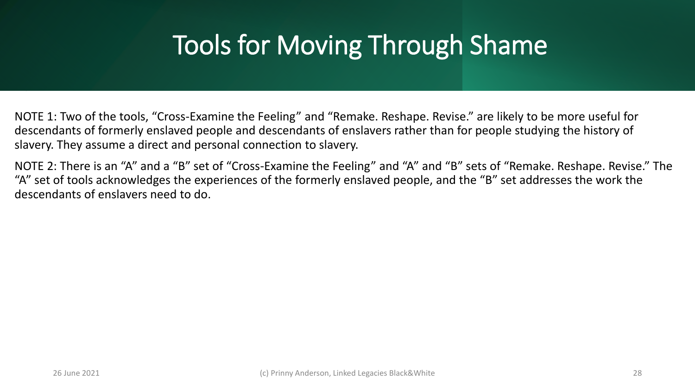NOTE 1: Two of the tools, "Cross-Examine the Feeling" and "Remake. Reshape. Revise." are likely to be more useful for descendants of formerly enslaved people and descendants of enslavers rather than for people studying the history of slavery. They assume a direct and personal connection to slavery.

NOTE 2: There is an "A" and a "B" set of "Cross-Examine the Feeling" and "A" and "B" sets of "Remake. Reshape. Revise." The "A" set of tools acknowledges the experiences of the formerly enslaved people, and the "B" set addresses the work the descendants of enslavers need to do.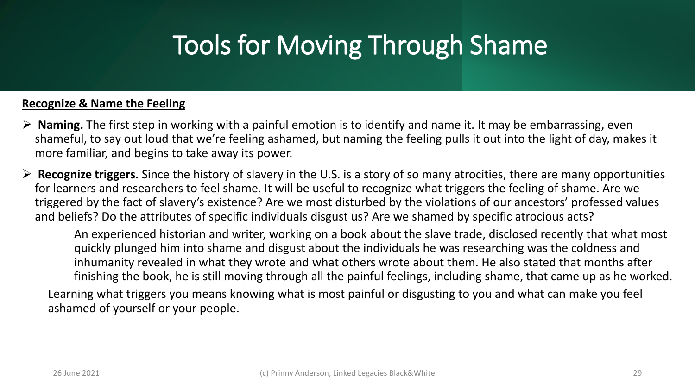#### **Recognize & Name the Feeling**

- ➢ **Naming.** The first step in working with a painful emotion is to identify and name it. It may be embarrassing, even shameful, to say out loud that we're feeling ashamed, but naming the feeling pulls it out into the light of day, makes it more familiar, and begins to take away its power.
- ➢ **Recognize triggers.** Since the history of slavery in the U.S. is a story of so many atrocities, there are many opportunities for learners and researchers to feel shame. It will be useful to recognize what triggers the feeling of shame. Are we triggered by the fact of slavery's existence? Are we most disturbed by the violations of our ancestors' professed values and beliefs? Do the attributes of specific individuals disgust us? Are we shamed by specific atrocious acts?

An experienced historian and writer, working on a book about the slave trade, disclosed recently that what most quickly plunged him into shame and disgust about the individuals he was researching was the coldness and inhumanity revealed in what they wrote and what others wrote about them. He also stated that months after finishing the book, he is still moving through all the painful feelings, including shame, that came up as he worked.

Learning what triggers you means knowing what is most painful or disgusting to you and what can make you feel ashamed of yourself or your people.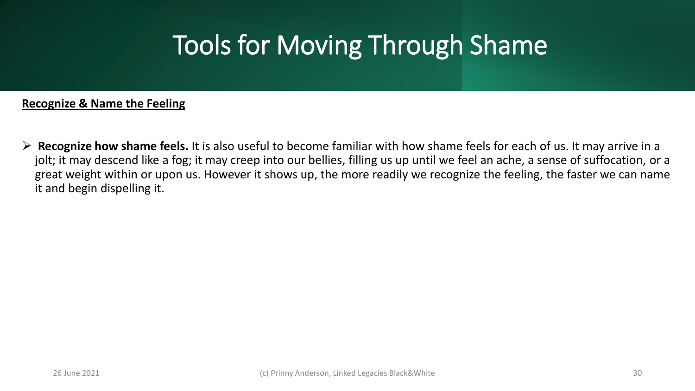#### **Recognize & Name the Feeling**

➢ **Recognize how shame feels.** It is also useful to become familiar with how shame feels for each of us. It may arrive in a jolt; it may descend like a fog; it may creep into our bellies, filling us up until we feel an ache, a sense of suffocation, or a great weight within or upon us. However it shows up, the more readily we recognize the feeling, the faster we can name it and begin dispelling it.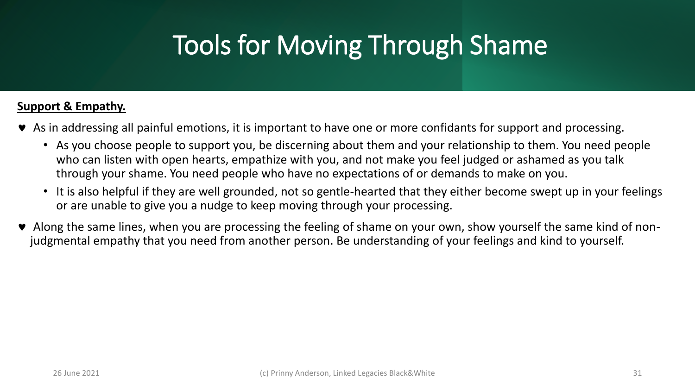#### **Support & Empathy.**

- As in addressing all painful emotions, it is important to have one or more confidants for support and processing.
	- As you choose people to support you, be discerning about them and your relationship to them. You need people who can listen with open hearts, empathize with you, and not make you feel judged or ashamed as you talk through your shame. You need people who have no expectations of or demands to make on you.
	- It is also helpful if they are well grounded, not so gentle-hearted that they either become swept up in your feelings or are unable to give you a nudge to keep moving through your processing.
- Along the same lines, when you are processing the feeling of shame on your own, show yourself the same kind of nonjudgmental empathy that you need from another person. Be understanding of your feelings and kind to yourself.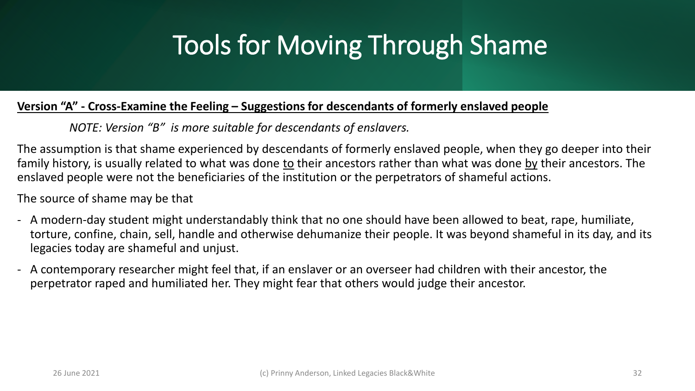#### **Version "A" - Cross-Examine the Feeling – Suggestions for descendants of formerly enslaved people**

*NOTE: Version "B" is more suitable for descendants of enslavers.*

The assumption is that shame experienced by descendants of formerly enslaved people, when they go deeper into their family history, is usually related to what was done to their ancestors rather than what was done by their ancestors. The enslaved people were not the beneficiaries of the institution or the perpetrators of shameful actions.

The source of shame may be that

- A modern-day student might understandably think that no one should have been allowed to beat, rape, humiliate, torture, confine, chain, sell, handle and otherwise dehumanize their people. It was beyond shameful in its day, and its legacies today are shameful and unjust.
- A contemporary researcher might feel that, if an enslaver or an overseer had children with their ancestor, the perpetrator raped and humiliated her. They might fear that others would judge their ancestor.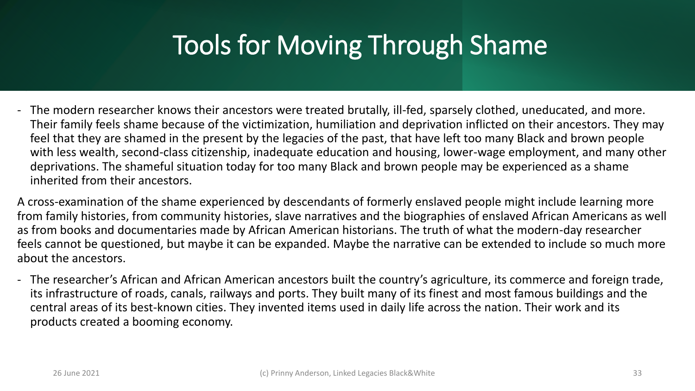- The modern researcher knows their ancestors were treated brutally, ill-fed, sparsely clothed, uneducated, and more. Their family feels shame because of the victimization, humiliation and deprivation inflicted on their ancestors. They may feel that they are shamed in the present by the legacies of the past, that have left too many Black and brown people with less wealth, second-class citizenship, inadequate education and housing, lower-wage employment, and many other deprivations. The shameful situation today for too many Black and brown people may be experienced as a shame inherited from their ancestors.

A cross-examination of the shame experienced by descendants of formerly enslaved people might include learning more from family histories, from community histories, slave narratives and the biographies of enslaved African Americans as well as from books and documentaries made by African American historians. The truth of what the modern-day researcher feels cannot be questioned, but maybe it can be expanded. Maybe the narrative can be extended to include so much more about the ancestors.

- The researcher's African and African American ancestors built the country's agriculture, its commerce and foreign trade, its infrastructure of roads, canals, railways and ports. They built many of its finest and most famous buildings and the central areas of its best-known cities. They invented items used in daily life across the nation. Their work and its products created a booming economy.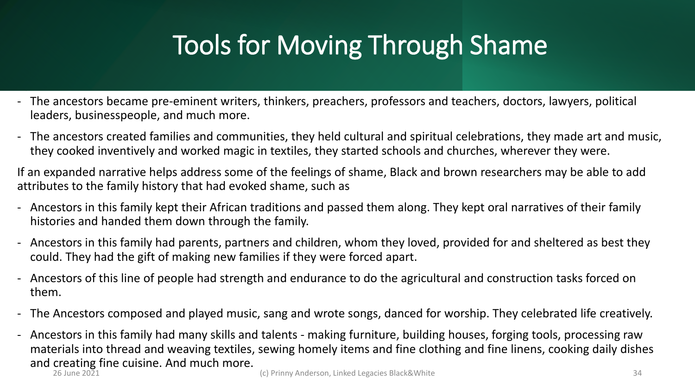- The ancestors became pre-eminent writers, thinkers, preachers, professors and teachers, doctors, lawyers, political leaders, businesspeople, and much more.
- The ancestors created families and communities, they held cultural and spiritual celebrations, they made art and music, they cooked inventively and worked magic in textiles, they started schools and churches, wherever they were.

If an expanded narrative helps address some of the feelings of shame, Black and brown researchers may be able to add attributes to the family history that had evoked shame, such as

- Ancestors in this family kept their African traditions and passed them along. They kept oral narratives of their family histories and handed them down through the family.
- Ancestors in this family had parents, partners and children, whom they loved, provided for and sheltered as best they could. They had the gift of making new families if they were forced apart.
- Ancestors of this line of people had strength and endurance to do the agricultural and construction tasks forced on them.
- The Ancestors composed and played music, sang and wrote songs, danced for worship. They celebrated life creatively.
- Ancestors in this family had many skills and talents making furniture, building houses, forging tools, processing raw materials into thread and weaving textiles, sewing homely items and fine clothing and fine linens, cooking daily dishes and creating fine cuisine. And much more.<br> $26 \text{ June } 2021$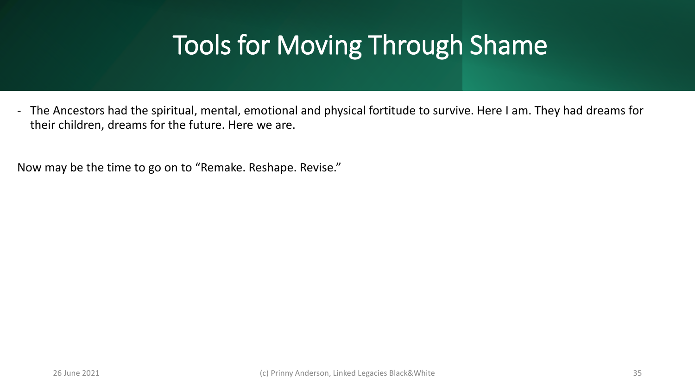- The Ancestors had the spiritual, mental, emotional and physical fortitude to survive. Here I am. They had dreams for their children, dreams for the future. Here we are.

Now may be the time to go on to "Remake. Reshape. Revise."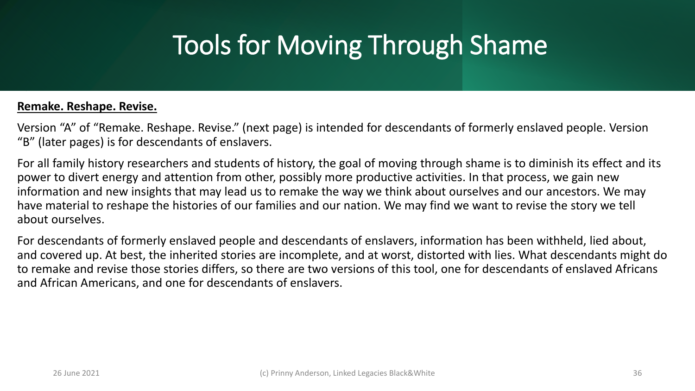#### **Remake. Reshape. Revise.**

Version "A" of "Remake. Reshape. Revise." (next page) is intended for descendants of formerly enslaved people. Version "B" (later pages) is for descendants of enslavers.

For all family history researchers and students of history, the goal of moving through shame is to diminish its effect and its power to divert energy and attention from other, possibly more productive activities. In that process, we gain new information and new insights that may lead us to remake the way we think about ourselves and our ancestors. We may have material to reshape the histories of our families and our nation. We may find we want to revise the story we tell about ourselves.

For descendants of formerly enslaved people and descendants of enslavers, information has been withheld, lied about, and covered up. At best, the inherited stories are incomplete, and at worst, distorted with lies. What descendants might do to remake and revise those stories differs, so there are two versions of this tool, one for descendants of enslaved Africans and African Americans, and one for descendants of enslavers.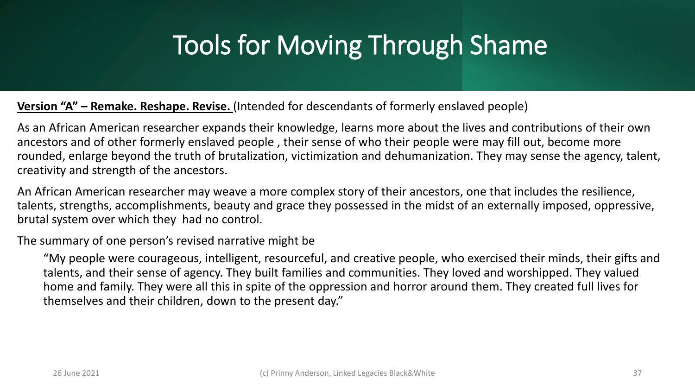#### **Version "A" – Remake. Reshape. Revise.** (Intended for descendants of formerly enslaved people)

As an African American researcher expands their knowledge, learns more about the lives and contributions of their own ancestors and of other formerly enslaved people , their sense of who their people were may fill out, become more rounded, enlarge beyond the truth of brutalization, victimization and dehumanization. They may sense the agency, talent, creativity and strength of the ancestors.

An African American researcher may weave a more complex story of their ancestors, one that includes the resilience, talents, strengths, accomplishments, beauty and grace they possessed in the midst of an externally imposed, oppressive, brutal system over which they had no control.

The summary of one person's revised narrative might be

"My people were courageous, intelligent, resourceful, and creative people, who exercised their minds, their gifts and talents, and their sense of agency. They built families and communities. They loved and worshipped. They valued home and family. They were all this in spite of the oppression and horror around them. They created full lives for themselves and their children, down to the present day."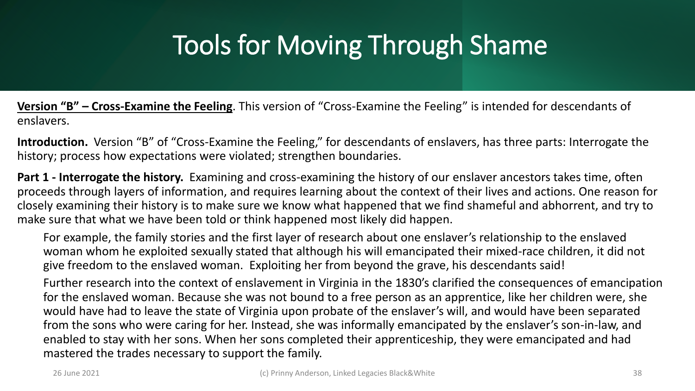**Version "B" – Cross-Examine the Feeling**. This version of "Cross-Examine the Feeling" is intended for descendants of enslavers.

**Introduction.** Version "B" of "Cross-Examine the Feeling," for descendants of enslavers, has three parts: Interrogate the history; process how expectations were violated; strengthen boundaries.

**Part 1 - Interrogate the history.** Examining and cross-examining the history of our enslaver ancestors takes time, often proceeds through layers of information, and requires learning about the context of their lives and actions. One reason for closely examining their history is to make sure we know what happened that we find shameful and abhorrent, and try to make sure that what we have been told or think happened most likely did happen.

For example, the family stories and the first layer of research about one enslaver's relationship to the enslaved woman whom he exploited sexually stated that although his will emancipated their mixed-race children, it did not give freedom to the enslaved woman. Exploiting her from beyond the grave, his descendants said!

Further research into the context of enslavement in Virginia in the 1830's clarified the consequences of emancipation for the enslaved woman. Because she was not bound to a free person as an apprentice, like her children were, she would have had to leave the state of Virginia upon probate of the enslaver's will, and would have been separated from the sons who were caring for her. Instead, she was informally emancipated by the enslaver's son-in-law, and enabled to stay with her sons. When her sons completed their apprenticeship, they were emancipated and had mastered the trades necessary to support the family.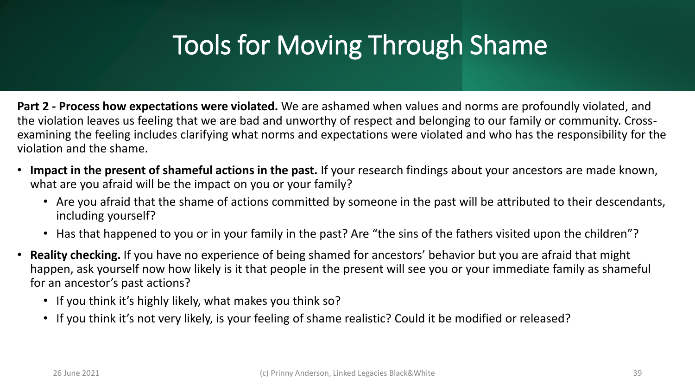**Part 2 - Process how expectations were violated.** We are ashamed when values and norms are profoundly violated, and the violation leaves us feeling that we are bad and unworthy of respect and belonging to our family or community. Crossexamining the feeling includes clarifying what norms and expectations were violated and who has the responsibility for the violation and the shame.

- **Impact in the present of shameful actions in the past.** If your research findings about your ancestors are made known, what are you afraid will be the impact on you or your family?
	- Are you afraid that the shame of actions committed by someone in the past will be attributed to their descendants, including yourself?
	- Has that happened to you or in your family in the past? Are "the sins of the fathers visited upon the children"?
- **Reality checking.** If you have no experience of being shamed for ancestors' behavior but you are afraid that might happen, ask yourself now how likely is it that people in the present will see you or your immediate family as shameful for an ancestor's past actions?
	- If you think it's highly likely, what makes you think so?
	- If you think it's not very likely, is your feeling of shame realistic? Could it be modified or released?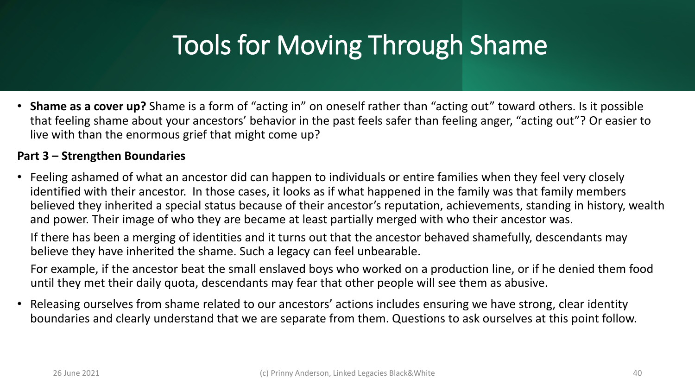• **Shame as a cover up?** Shame is a form of "acting in" on oneself rather than "acting out" toward others. Is it possible that feeling shame about your ancestors' behavior in the past feels safer than feeling anger, "acting out"? Or easier to live with than the enormous grief that might come up?

#### **Part 3 – Strengthen Boundaries**

• Feeling ashamed of what an ancestor did can happen to individuals or entire families when they feel very closely identified with their ancestor. In those cases, it looks as if what happened in the family was that family members believed they inherited a special status because of their ancestor's reputation, achievements, standing in history, wealth and power. Their image of who they are became at least partially merged with who their ancestor was.

If there has been a merging of identities and it turns out that the ancestor behaved shamefully, descendants may believe they have inherited the shame. Such a legacy can feel unbearable.

For example, if the ancestor beat the small enslaved boys who worked on a production line, or if he denied them food until they met their daily quota, descendants may fear that other people will see them as abusive.

• Releasing ourselves from shame related to our ancestors' actions includes ensuring we have strong, clear identity boundaries and clearly understand that we are separate from them. Questions to ask ourselves at this point follow.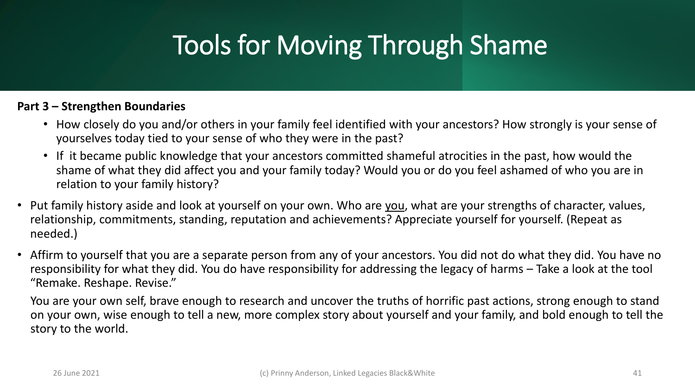#### **Part 3 – Strengthen Boundaries**

- How closely do you and/or others in your family feel identified with your ancestors? How strongly is your sense of yourselves today tied to your sense of who they were in the past?
- If it became public knowledge that your ancestors committed shameful atrocities in the past, how would the shame of what they did affect you and your family today? Would you or do you feel ashamed of who you are in relation to your family history?
- Put family history aside and look at yourself on your own. Who are you, what are your strengths of character, values, relationship, commitments, standing, reputation and achievements? Appreciate yourself for yourself. (Repeat as needed.)
- Affirm to yourself that you are a separate person from any of your ancestors. You did not do what they did. You have no responsibility for what they did. You do have responsibility for addressing the legacy of harms – Take a look at the tool "Remake. Reshape. Revise."

You are your own self, brave enough to research and uncover the truths of horrific past actions, strong enough to stand on your own, wise enough to tell a new, more complex story about yourself and your family, and bold enough to tell the story to the world.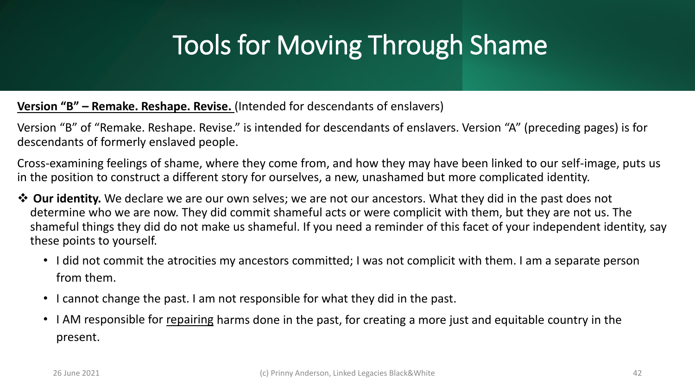#### **Version "B" – Remake. Reshape. Revise.** (Intended for descendants of enslavers)

Version "B" of "Remake. Reshape. Revise." is intended for descendants of enslavers. Version "A" (preceding pages) is for descendants of formerly enslaved people.

Cross-examining feelings of shame, where they come from, and how they may have been linked to our self-image, puts us in the position to construct a different story for ourselves, a new, unashamed but more complicated identity.

- ❖ **Our identity.** We declare we are our own selves; we are not our ancestors. What they did in the past does not determine who we are now. They did commit shameful acts or were complicit with them, but they are not us. The shameful things they did do not make us shameful. If you need a reminder of this facet of your independent identity, say these points to yourself.
	- I did not commit the atrocities my ancestors committed; I was not complicit with them. I am a separate person from them.
	- I cannot change the past. I am not responsible for what they did in the past.
	- I AM responsible for repairing harms done in the past, for creating a more just and equitable country in the present.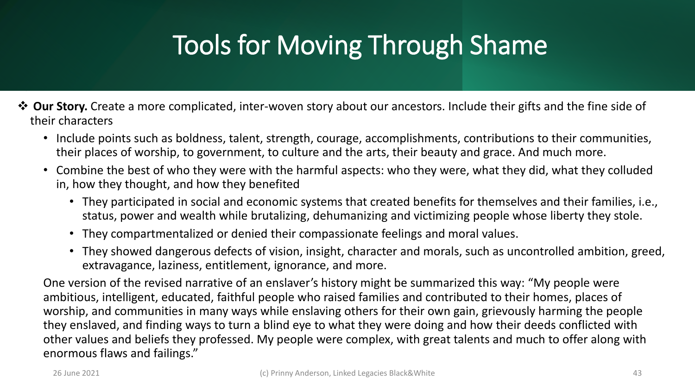- ❖ **Our Story.** Create a more complicated, inter-woven story about our ancestors. Include their gifts and the fine side of their characters
	- Include points such as boldness, talent, strength, courage, accomplishments, contributions to their communities, their places of worship, to government, to culture and the arts, their beauty and grace. And much more.
	- Combine the best of who they were with the harmful aspects: who they were, what they did, what they colluded in, how they thought, and how they benefited
		- They participated in social and economic systems that created benefits for themselves and their families, i.e., status, power and wealth while brutalizing, dehumanizing and victimizing people whose liberty they stole.
		- They compartmentalized or denied their compassionate feelings and moral values.
		- They showed dangerous defects of vision, insight, character and morals, such as uncontrolled ambition, greed, extravagance, laziness, entitlement, ignorance, and more.

One version of the revised narrative of an enslaver's history might be summarized this way: "My people were ambitious, intelligent, educated, faithful people who raised families and contributed to their homes, places of worship, and communities in many ways while enslaving others for their own gain, grievously harming the people they enslaved, and finding ways to turn a blind eye to what they were doing and how their deeds conflicted with other values and beliefs they professed. My people were complex, with great talents and much to offer along with enormous flaws and failings."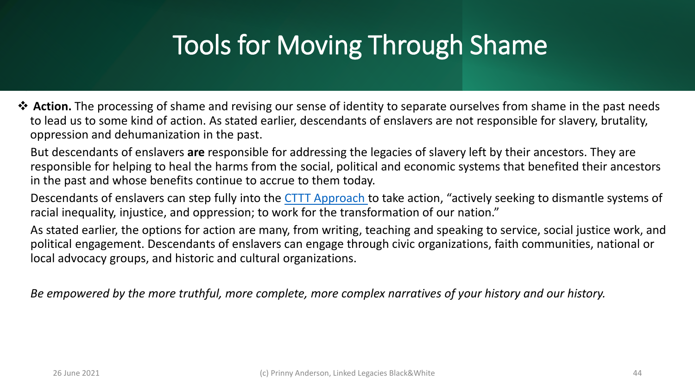- ❖ **Action.** The processing of shame and revising our sense of identity to separate ourselves from shame in the past needs to lead us to some kind of action. As stated earlier, descendants of enslavers are not responsible for slavery, brutality, oppression and dehumanization in the past.
	- But descendants of enslavers **are** responsible for addressing the legacies of slavery left by their ancestors. They are responsible for helping to heal the harms from the social, political and economic systems that benefited their ancestors in the past and whose benefits continue to accrue to them today.
	- Descendants of enslavers can step fully into the [CTTT Approach](https://comingtothetable.org/about-us/) to take action, "actively seeking to dismantle systems of racial inequality, injustice, and oppression; to work for the transformation of our nation."
	- As stated earlier, the options for action are many, from writing, teaching and speaking to service, social justice work, and political engagement. Descendants of enslavers can engage through civic organizations, faith communities, national or local advocacy groups, and historic and cultural organizations.

*Be empowered by the more truthful, more complete, more complex narratives of your history and our history.*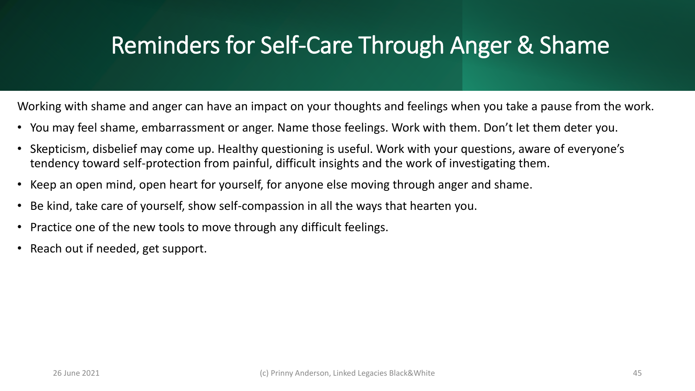#### Reminders for Self-Care Through Anger & Shame

Working with shame and anger can have an impact on your thoughts and feelings when you take a pause from the work.

- You may feel shame, embarrassment or anger. Name those feelings. Work with them. Don't let them deter you.
- Skepticism, disbelief may come up. Healthy questioning is useful. Work with your questions, aware of everyone's tendency toward self-protection from painful, difficult insights and the work of investigating them.
- Keep an open mind, open heart for yourself, for anyone else moving through anger and shame.
- Be kind, take care of yourself, show self-compassion in all the ways that hearten you.
- Practice one of the new tools to move through any difficult feelings.
- Reach out if needed, get support.